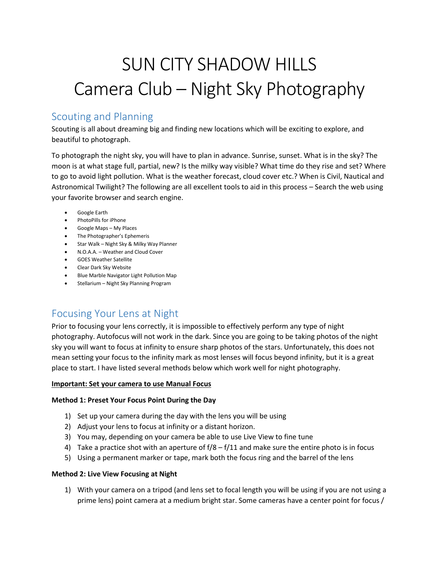# SUN CITY SHADOW HILLS Camera Club – Night Sky Photography

# Scouting and Planning

Scouting is all about dreaming big and finding new locations which will be exciting to explore, and beautiful to photograph.

To photograph the night sky, you will have to plan in advance. Sunrise, sunset. What is in the sky? The moon is at what stage full, partial, new? Is the milky way visible? What time do they rise and set? Where to go to avoid light pollution. What is the weather forecast, cloud cover etc.? When is Civil, Nautical and Astronomical Twilight? The following are all excellent tools to aid in this process – Search the web using your favorite browser and search engine.

- Google Earth
- PhotoPills for iPhone
- Google Maps My Places
- The Photographer's Ephemeris
- Star Walk Night Sky & Milky Way Planner
- N.O.A.A. Weather and Cloud Cover
- GOES Weather Satellite
- Clear Dark Sky Website
- Blue Marble Navigator Light Pollution Map
- Stellarium Night Sky Planning Program

# Focusing Your Lens at Night

Prior to focusing your lens correctly, it is impossible to effectively perform any type of night photography. Autofocus will not work in the dark. Since you are going to be taking photos of the night sky you will want to focus at infinity to ensure sharp photos of the stars. Unfortunately, this does not mean setting your focus to the infinity mark as most lenses will focus beyond infinity, but it is a great place to start. I have listed several methods below which work well for night photography.

# **Important: Set your camera to use Manual Focus**

# **Method 1: Preset Your Focus Point During the Day**

- 1) Set up your camera during the day with the lens you will be using
- 2) Adjust your lens to focus at infinity or a distant horizon.
- 3) You may, depending on your camera be able to use Live View to fine tune
- 4) Take a practice shot with an aperture of  $f/8 f/11$  and make sure the entire photo is in focus
- 5) Using a permanent marker or tape, mark both the focus ring and the barrel of the lens

#### **Method 2: Live View Focusing at Night**

1) With your camera on a tripod (and lens set to focal length you will be using if you are not using a prime lens) point camera at a medium bright star. Some cameras have a center point for focus /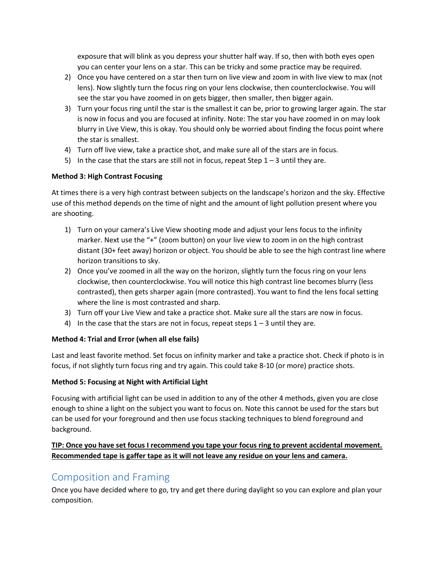exposure that will blink as you depress your shutter half way. If so, then with both eyes open you can center your lens on a star. This can be tricky and some practice may be required.

- 2) Once you have centered on a star then turn on live view and zoom in with live view to max (not lens). Now slightly turn the focus ring on your lens clockwise, then counterclockwise. You will see the star you have zoomed in on gets bigger, then smaller, then bigger again.
- 3) Turn your focus ring until the star is the smallest it can be, prior to growing larger again. The star is now in focus and you are focused at infinity. Note: The star you have zoomed in on may look blurry in Live View, this is okay. You should only be worried about finding the focus point where the star is smallest.
- 4) Turn off live view, take a practice shot, and make sure all of the stars are in focus.
- 5) In the case that the stars are still not in focus, repeat Step  $1 3$  until they are.

# **Method 3: High Contrast Focusing**

At times there is a very high contrast between subjects on the landscape's horizon and the sky. Effective use of this method depends on the time of night and the amount of light pollution present where you are shooting.

- 1) Turn on your camera's Live View shooting mode and adjust your lens focus to the infinity marker. Next use the "+" (zoom button) on your live view to zoom in on the high contrast distant (30+ feet away) horizon or object. You should be able to see the high contrast line where horizon transitions to sky.
- 2) Once you've zoomed in all the way on the horizon, slightly turn the focus ring on your lens clockwise, then counterclockwise. You will notice this high contrast line becomes blurry (less contrasted), then gets sharper again (more contrasted). You want to find the lens focal setting where the line is most contrasted and sharp.
- 3) Turn off your Live View and take a practice shot. Make sure all the stars are now in focus.
- 4) In the case that the stars are not in focus, repeat steps  $1 3$  until they are.

# **Method 4: Trial and Error (when all else fails)**

Last and least favorite method. Set focus on infinity marker and take a practice shot. Check if photo is in focus, if not slightly turn focus ring and try again. This could take 8-10 (or more) practice shots.

# **Method 5: Focusing at Night with Artificial Light**

Focusing with artificial light can be used in addition to any of the other 4 methods, given you are close enough to shine a light on the subject you want to focus on. Note this cannot be used for the stars but can be used for your foreground and then use focus stacking techniques to blend foreground and background.

# **TIP: Once you have set focus I recommend you tape your focus ring to prevent accidental movement. Recommended tape is gaffer tape as it will not leave any residue on your lens and camera.**

# Composition and Framing

Once you have decided where to go, try and get there during daylight so you can explore and plan your composition.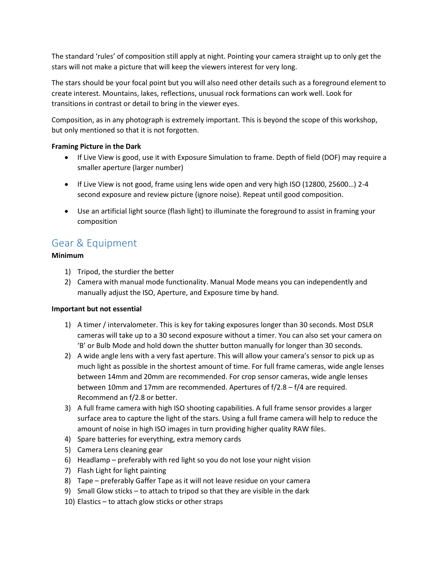The standard 'rules' of composition still apply at night. Pointing your camera straight up to only get the stars will not make a picture that will keep the viewers interest for very long.

The stars should be your focal point but you will also need other details such as a foreground element to create interest. Mountains, lakes, reflections, unusual rock formations can work well. Look for transitions in contrast or detail to bring in the viewer eyes.

Composition, as in any photograph is extremely important. This is beyond the scope of this workshop, but only mentioned so that it is not forgotten.

## **Framing Picture in the Dark**

- If Live View is good, use it with Exposure Simulation to frame. Depth of field (DOF) may require a smaller aperture (larger number)
- If Live View is not good, frame using lens wide open and very high ISO (12800, 25600…) 2-4 second exposure and review picture (ignore noise). Repeat until good composition.
- Use an artificial light source (flash light) to illuminate the foreground to assist in framing your composition

# Gear & Equipment

## **Minimum**

- 1) Tripod, the sturdier the better
- 2) Camera with manual mode functionality. Manual Mode means you can independently and manually adjust the ISO, Aperture, and Exposure time by hand.

#### **Important but not essential**

- 1) A timer / intervalometer. This is key for taking exposures longer than 30 seconds. Most DSLR cameras will take up to a 30 second exposure without a timer. You can also set your camera on 'B' or Bulb Mode and hold down the shutter button manually for longer than 30 seconds.
- 2) A wide angle lens with a very fast aperture. This will allow your camera's sensor to pick up as much light as possible in the shortest amount of time. For full frame cameras, wide angle lenses between 14mm and 20mm are recommended. For crop sensor cameras, wide angle lenses between 10mm and 17mm are recommended. Apertures of f/2.8 – f/4 are required. Recommend an f/2.8 or better.
- 3) A full frame camera with high ISO shooting capabilities. A full frame sensor provides a larger surface area to capture the light of the stars. Using a full frame camera will help to reduce the amount of noise in high ISO images in turn providing higher quality RAW files.
- 4) Spare batteries for everything, extra memory cards
- 5) Camera Lens cleaning gear
- 6) Headlamp preferably with red light so you do not lose your night vision
- 7) Flash Light for light painting
- 8) Tape preferably Gaffer Tape as it will not leave residue on your camera
- 9) Small Glow sticks to attach to tripod so that they are visible in the dark
- 10) Elastics to attach glow sticks or other straps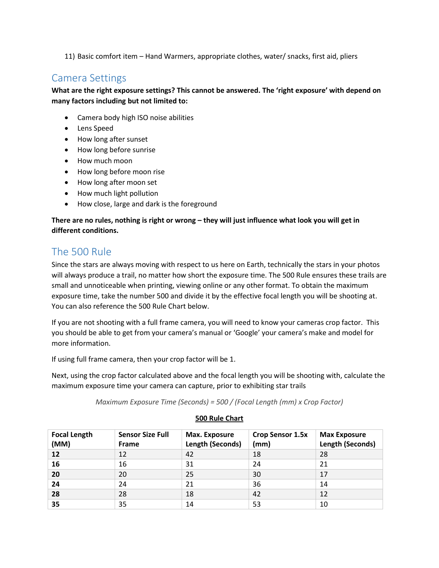11) Basic comfort item – Hand Warmers, appropriate clothes, water/ snacks, first aid, pliers

# Camera Settings

**What are the right exposure settings? This cannot be answered. The 'right exposure' with depend on many factors including but not limited to:**

- Camera body high ISO noise abilities
- Lens Speed
- How long after sunset
- How long before sunrise
- How much moon
- How long before moon rise
- How long after moon set
- How much light pollution
- How close, large and dark is the foreground

# **There are no rules, nothing is right or wrong – they will just influence what look you will get in different conditions.**

# The 500 Rule

Since the stars are always moving with respect to us here on Earth, technically the stars in your photos will always produce a trail, no matter how short the exposure time. The 500 Rule ensures these trails are small and unnoticeable when printing, viewing online or any other format. To obtain the maximum exposure time, take the number 500 and divide it by the effective focal length you will be shooting at. You can also reference the 500 Rule Chart below.

If you are not shooting with a full frame camera, you will need to know your cameras crop factor. This you should be able to get from your camera's manual or 'Google' your camera's make and model for more information.

If using full frame camera, then your crop factor will be 1.

Next, using the crop factor calculated above and the focal length you will be shooting with, calculate the maximum exposure time your camera can capture, prior to exhibiting star trails

*Maximum Exposure Time (Seconds) = 500 / (Focal Length (mm) x Crop Factor)*

| <b>Focal Length</b><br>(MM) | <b>Sensor Size Full</b><br><b>Frame</b> | Max. Exposure<br>Length (Seconds) | <b>Crop Sensor 1.5x</b><br>(mm) | <b>Max Exposure</b><br>Length (Seconds) |
|-----------------------------|-----------------------------------------|-----------------------------------|---------------------------------|-----------------------------------------|
| 12                          | 12                                      | 42                                | 18                              | 28                                      |
| 16                          | 16                                      | 31                                | 24                              | 21                                      |
| 20                          | 20                                      | 25                                | 30                              | 17                                      |
| 24                          | 24                                      | 21                                | 36                              | 14                                      |
| 28                          | 28                                      | 18                                | 42                              | 12                                      |
| 35                          | 35                                      | 14                                | 53                              | 10                                      |

# **500 Rule Chart**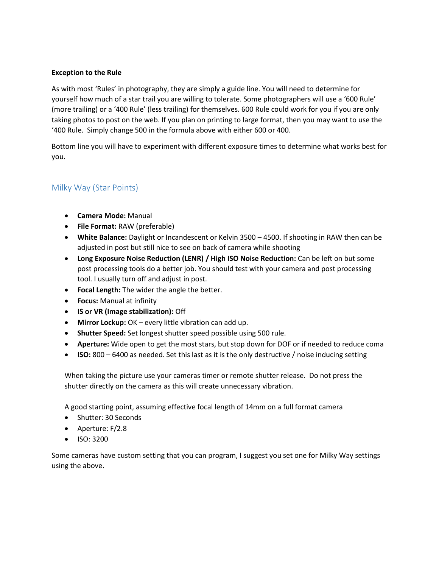#### **Exception to the Rule**

As with most 'Rules' in photography, they are simply a guide line. You will need to determine for yourself how much of a star trail you are willing to tolerate. Some photographers will use a '600 Rule' (more trailing) or a '400 Rule' (less trailing) for themselves. 600 Rule could work for you if you are only taking photos to post on the web. If you plan on printing to large format, then you may want to use the '400 Rule. Simply change 500 in the formula above with either 600 or 400.

Bottom line you will have to experiment with different exposure times to determine what works best for you.

# Milky Way (Star Points)

- **Camera Mode:** Manual
- **File Format:** RAW (preferable)
- **White Balance:** Daylight or Incandescent or Kelvin 3500 4500. If shooting in RAW then can be adjusted in post but still nice to see on back of camera while shooting
- **Long Exposure Noise Reduction (LENR) / High ISO Noise Reduction:** Can be left on but some post processing tools do a better job. You should test with your camera and post processing tool. I usually turn off and adjust in post.
- **Focal Length:** The wider the angle the better.
- **Focus:** Manual at infinity
- **IS or VR (Image stabilization):** Off
- **Mirror Lockup:** OK every little vibration can add up.
- **Shutter Speed:** Set longest shutter speed possible using 500 rule.
- **Aperture:** Wide open to get the most stars, but stop down for DOF or if needed to reduce coma
- **ISO:** 800 6400 as needed. Set this last as it is the only destructive / noise inducing setting

When taking the picture use your cameras timer or remote shutter release. Do not press the shutter directly on the camera as this will create unnecessary vibration.

A good starting point, assuming effective focal length of 14mm on a full format camera

- Shutter: 30 Seconds
- Aperture: F/2.8
- $\bullet$  ISO: 3200

Some cameras have custom setting that you can program, I suggest you set one for Milky Way settings using the above.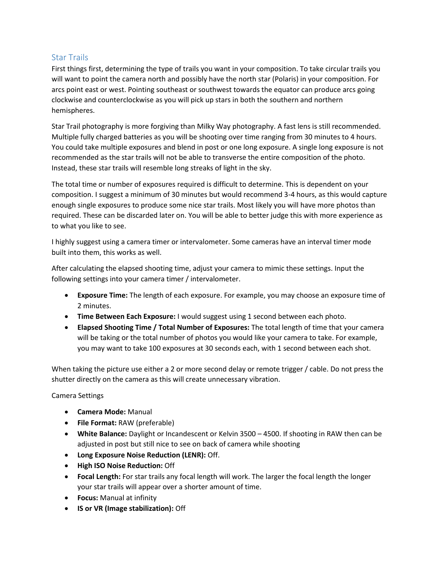# Star Trails

First things first, determining the type of trails you want in your composition. To take circular trails you will want to point the camera north and possibly have the north star (Polaris) in your composition. For arcs point east or west. Pointing southeast or southwest towards the equator can produce arcs going clockwise and counterclockwise as you will pick up stars in both the southern and northern hemispheres.

Star Trail photography is more forgiving than Milky Way photography. A fast lens is still recommended. Multiple fully charged batteries as you will be shooting over time ranging from 30 minutes to 4 hours. You could take multiple exposures and blend in post or one long exposure. A single long exposure is not recommended as the star trails will not be able to transverse the entire composition of the photo. Instead, these star trails will resemble long streaks of light in the sky.

The total time or number of exposures required is difficult to determine. This is dependent on your composition. I suggest a minimum of 30 minutes but would recommend 3-4 hours, as this would capture enough single exposures to produce some nice star trails. Most likely you will have more photos than required. These can be discarded later on. You will be able to better judge this with more experience as to what you like to see.

I highly suggest using a camera timer or intervalometer. Some cameras have an interval timer mode built into them, this works as well.

After calculating the elapsed shooting time, adjust your camera to mimic these settings. Input the following settings into your camera timer / intervalometer.

- **Exposure Time:** The length of each exposure. For example, you may choose an exposure time of 2 minutes.
- **Time Between Each Exposure:** I would suggest using 1 second between each photo.
- **Elapsed Shooting Time / Total Number of Exposures:** The total length of time that your camera will be taking or the total number of photos you would like your camera to take. For example, you may want to take 100 exposures at 30 seconds each, with 1 second between each shot.

When taking the picture use either a 2 or more second delay or remote trigger / cable. Do not press the shutter directly on the camera as this will create unnecessary vibration.

# Camera Settings

- **Camera Mode:** Manual
- **File Format:** RAW (preferable)
- **White Balance:** Daylight or Incandescent or Kelvin 3500 4500. If shooting in RAW then can be adjusted in post but still nice to see on back of camera while shooting
- **Long Exposure Noise Reduction (LENR):** Off.
- **High ISO Noise Reduction:** Off
- **Focal Length:** For star trails any focal length will work. The larger the focal length the longer your star trails will appear over a shorter amount of time.
- **Focus:** Manual at infinity
- **IS or VR (Image stabilization):** Off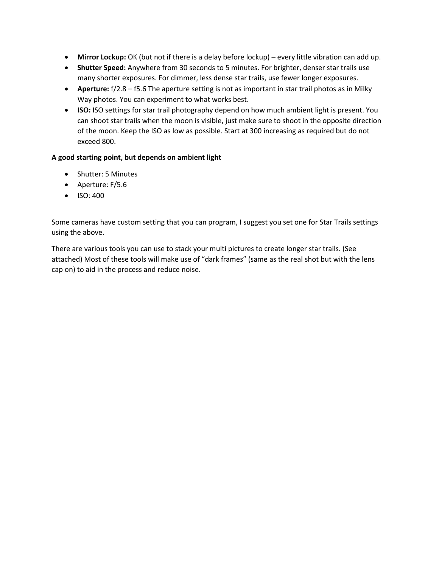- **Mirror Lockup:** OK (but not if there is a delay before lockup) every little vibration can add up.
- **Shutter Speed:** Anywhere from 30 seconds to 5 minutes. For brighter, denser star trails use many shorter exposures. For dimmer, less dense star trails, use fewer longer exposures.
- **Aperture:** f/2.8 f5.6 The aperture setting is not as important in star trail photos as in Milky Way photos. You can experiment to what works best.
- **ISO:** ISO settings for star trail photography depend on how much ambient light is present. You can shoot star trails when the moon is visible, just make sure to shoot in the opposite direction of the moon. Keep the ISO as low as possible. Start at 300 increasing as required but do not exceed 800.

## **A good starting point, but depends on ambient light**

- Shutter: 5 Minutes
- Aperture: F/5.6
- ISO: 400

Some cameras have custom setting that you can program, I suggest you set one for Star Trails settings using the above.

There are various tools you can use to stack your multi pictures to create longer star trails. (See attached) Most of these tools will make use of "dark frames" (same as the real shot but with the lens cap on) to aid in the process and reduce noise.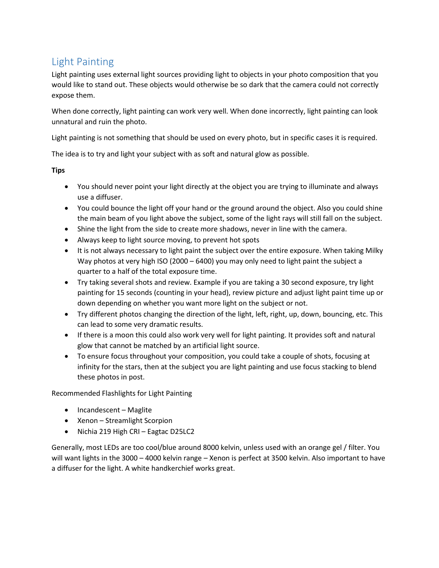# Light Painting

Light painting uses external light sources providing light to objects in your photo composition that you would like to stand out. These objects would otherwise be so dark that the camera could not correctly expose them.

When done correctly, light painting can work very well. When done incorrectly, light painting can look unnatural and ruin the photo.

Light painting is not something that should be used on every photo, but in specific cases it is required.

The idea is to try and light your subject with as soft and natural glow as possible.

# **Tips**

- You should never point your light directly at the object you are trying to illuminate and always use a diffuser.
- You could bounce the light off your hand or the ground around the object. Also you could shine the main beam of you light above the subject, some of the light rays will still fall on the subject.
- Shine the light from the side to create more shadows, never in line with the camera.
- Always keep to light source moving, to prevent hot spots
- It is not always necessary to light paint the subject over the entire exposure. When taking Milky Way photos at very high ISO (2000 – 6400) you may only need to light paint the subject a quarter to a half of the total exposure time.
- Try taking several shots and review. Example if you are taking a 30 second exposure, try light painting for 15 seconds (counting in your head), review picture and adjust light paint time up or down depending on whether you want more light on the subject or not.
- Try different photos changing the direction of the light, left, right, up, down, bouncing, etc. This can lead to some very dramatic results.
- If there is a moon this could also work very well for light painting. It provides soft and natural glow that cannot be matched by an artificial light source.
- To ensure focus throughout your composition, you could take a couple of shots, focusing at infinity for the stars, then at the subject you are light painting and use focus stacking to blend these photos in post.

Recommended Flashlights for Light Painting

- Incandescent Maglite
- Xenon Streamlight Scorpion
- Nichia 219 High CRI Eagtac D25LC2

Generally, most LEDs are too cool/blue around 8000 kelvin, unless used with an orange gel / filter. You will want lights in the 3000 – 4000 kelvin range – Xenon is perfect at 3500 kelvin. Also important to have a diffuser for the light. A white handkerchief works great.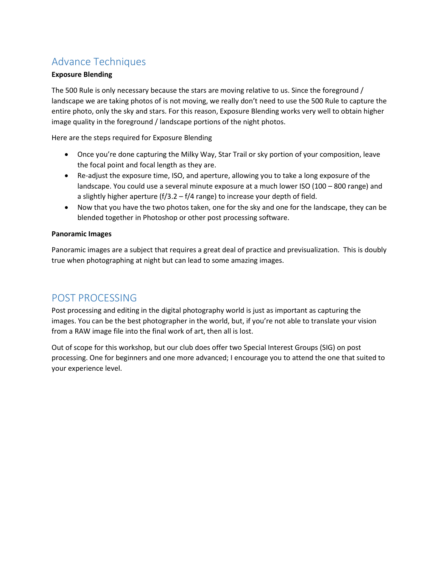# Advance Techniques

## **Exposure Blending**

The 500 Rule is only necessary because the stars are moving relative to us. Since the foreground / landscape we are taking photos of is not moving, we really don't need to use the 500 Rule to capture the entire photo, only the sky and stars. For this reason, Exposure Blending works very well to obtain higher image quality in the foreground / landscape portions of the night photos.

Here are the steps required for Exposure Blending

- Once you're done capturing the Milky Way, Star Trail or sky portion of your composition, leave the focal point and focal length as they are.
- Re-adjust the exposure time, ISO, and aperture, allowing you to take a long exposure of the landscape. You could use a several minute exposure at a much lower ISO (100 – 800 range) and a slightly higher aperture (f/3.2 – f/4 range) to increase your depth of field.
- Now that you have the two photos taken, one for the sky and one for the landscape, they can be blended together in Photoshop or other post processing software.

#### **Panoramic Images**

Panoramic images are a subject that requires a great deal of practice and previsualization. This is doubly true when photographing at night but can lead to some amazing images.

# POST PROCESSING

Post processing and editing in the digital photography world is just as important as capturing the images. You can be the best photographer in the world, but, if you're not able to translate your vision from a RAW image file into the final work of art, then all is lost.

Out of scope for this workshop, but our club does offer two Special Interest Groups (SIG) on post processing. One for beginners and one more advanced; I encourage you to attend the one that suited to your experience level.